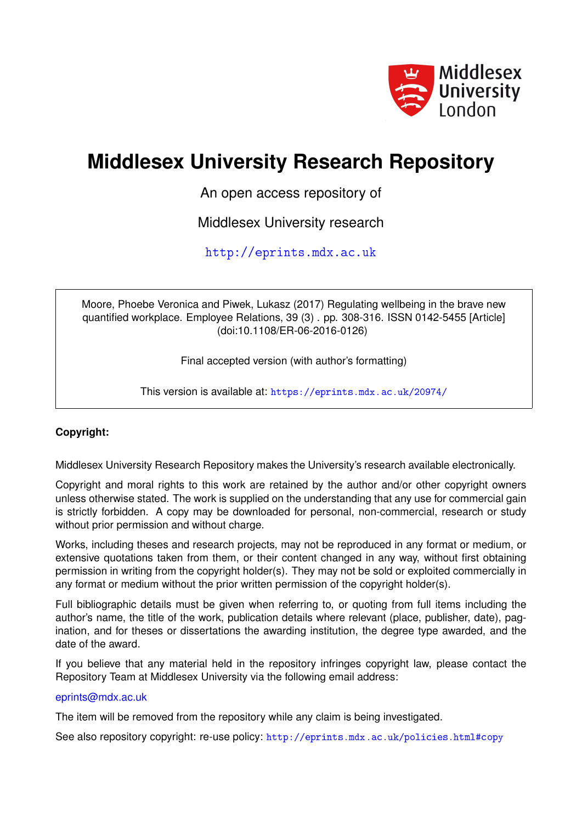

# **Middlesex University Research Repository**

An open access repository of

Middlesex University research

<http://eprints.mdx.ac.uk>

Moore, Phoebe Veronica and Piwek, Lukasz (2017) Regulating wellbeing in the brave new quantified workplace. Employee Relations, 39 (3) . pp. 308-316. ISSN 0142-5455 [Article] (doi:10.1108/ER-06-2016-0126)

Final accepted version (with author's formatting)

This version is available at: <https://eprints.mdx.ac.uk/20974/>

# **Copyright:**

Middlesex University Research Repository makes the University's research available electronically.

Copyright and moral rights to this work are retained by the author and/or other copyright owners unless otherwise stated. The work is supplied on the understanding that any use for commercial gain is strictly forbidden. A copy may be downloaded for personal, non-commercial, research or study without prior permission and without charge.

Works, including theses and research projects, may not be reproduced in any format or medium, or extensive quotations taken from them, or their content changed in any way, without first obtaining permission in writing from the copyright holder(s). They may not be sold or exploited commercially in any format or medium without the prior written permission of the copyright holder(s).

Full bibliographic details must be given when referring to, or quoting from full items including the author's name, the title of the work, publication details where relevant (place, publisher, date), pagination, and for theses or dissertations the awarding institution, the degree type awarded, and the date of the award.

If you believe that any material held in the repository infringes copyright law, please contact the Repository Team at Middlesex University via the following email address:

#### [eprints@mdx.ac.uk](mailto:eprints@mdx.ac.uk)

The item will be removed from the repository while any claim is being investigated.

See also repository copyright: re-use policy: <http://eprints.mdx.ac.uk/policies.html#copy>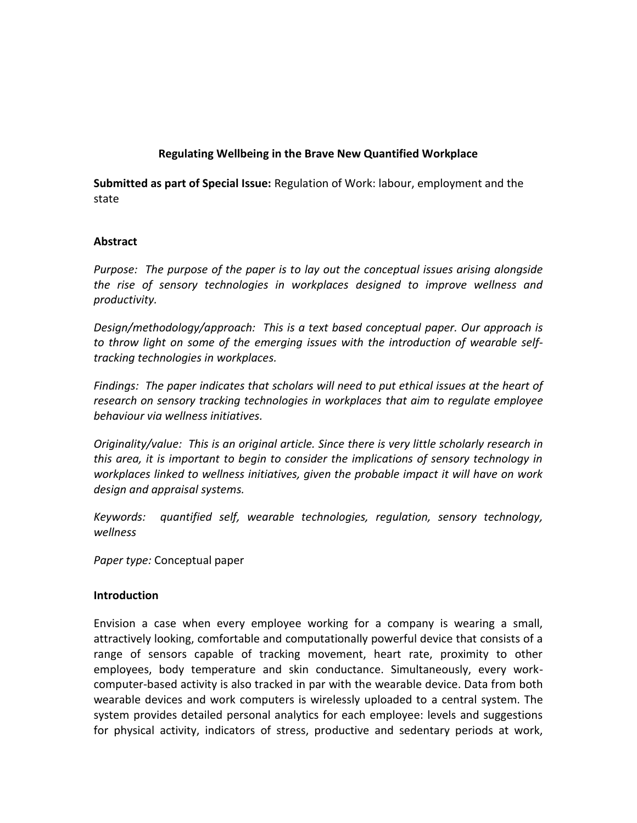## **Regulating Wellbeing in the Brave New Quantified Workplace**

**Submitted as part of Special Issue:** Regulation of Work: labour, employment and the state

### **Abstract**

*Purpose: The purpose of the paper is to lay out the conceptual issues arising alongside the rise of sensory technologies in workplaces designed to improve wellness and productivity.*

*Design/methodology/approach: This is a text based conceptual paper. Our approach is to throw light on some of the emerging issues with the introduction of wearable selftracking technologies in workplaces.*

*Findings: The paper indicates that scholars will need to put ethical issues at the heart of research on sensory tracking technologies in workplaces that aim to regulate employee behaviour via wellness initiatives.*

*Originality/value: This is an original article. Since there is very little scholarly research in this area, it is important to begin to consider the implications of sensory technology in workplaces linked to wellness initiatives, given the probable impact it will have on work design and appraisal systems.* 

*Keywords: quantified self, wearable technologies, regulation, sensory technology, wellness*

*Paper type:* Conceptual paper

## **Introduction**

Envision a case when every employee working for a company is wearing a small, attractively looking, comfortable and computationally powerful device that consists of a range of sensors capable of tracking movement, heart rate, proximity to other employees, body temperature and skin conductance. Simultaneously, every workcomputer-based activity is also tracked in par with the wearable device. Data from both wearable devices and work computers is wirelessly uploaded to a central system. The system provides detailed personal analytics for each employee: levels and suggestions for physical activity, indicators of stress, productive and sedentary periods at work,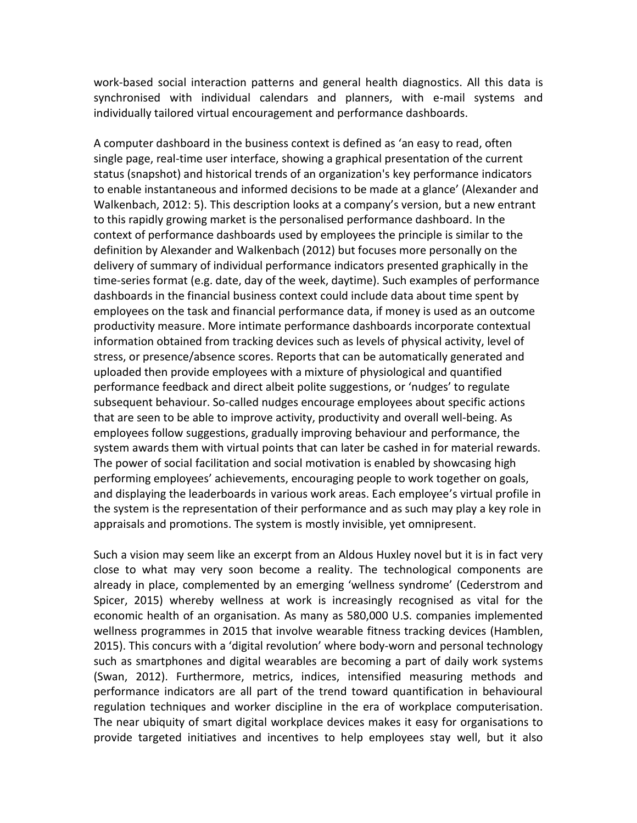work-based social interaction patterns and general health diagnostics. All this data is synchronised with individual calendars and planners, with e-mail systems and individually tailored virtual encouragement and performance dashboards.

A computer dashboard in the business context is defined as 'an easy to read, often single page, real-time user interface, showing a graphical presentation of the current status (snapshot) and historical trends of an organization's key performance indicators to enable instantaneous and informed decisions to be made at a glance' (Alexander and Walkenbach, 2012: 5). This description looks at a company's version, but a new entrant to this rapidly growing market is the personalised performance dashboard. In the context of performance dashboards used by employees the principle is similar to the definition by Alexander and Walkenbach (2012) but focuses more personally on the delivery of summary of individual performance indicators presented graphically in the time-series format (e.g. date, day of the week, daytime). Such examples of performance dashboards in the financial business context could include data about time spent by employees on the task and financial performance data, if money is used as an outcome productivity measure. More intimate performance dashboards incorporate contextual information obtained from tracking devices such as levels of physical activity, level of stress, or presence/absence scores. Reports that can be automatically generated and uploaded then provide employees with a mixture of physiological and quantified performance feedback and direct albeit polite suggestions, or 'nudges' to regulate subsequent behaviour. So-called nudges encourage employees about specific actions that are seen to be able to improve activity, productivity and overall well-being. As employees follow suggestions, gradually improving behaviour and performance, the system awards them with virtual points that can later be cashed in for material rewards. The power of social facilitation and social motivation is enabled by showcasing high performing employees' achievements, encouraging people to work together on goals, and displaying the leaderboards in various work areas. Each employee's virtual profile in the system is the representation of their performance and as such may play a key role in appraisals and promotions. The system is mostly invisible, yet omnipresent.

Such a vision may seem like an excerpt from an Aldous Huxley novel but it is in fact very close to what may very soon become a reality. The technological components are already in place, complemented by an emerging 'wellness syndrome' (Cederstrom and Spicer, 2015) whereby wellness at work is increasingly recognised as vital for the economic health of an organisation. As many as 580,000 U.S. companies implemented wellness programmes in 2015 that involve wearable fitness tracking devices (Hamblen, 2015). This concurs with a 'digital revolution' where body-worn and personal technology such as smartphones and digital wearables are becoming a part of daily work systems (Swan, 2012). Furthermore, metrics, indices, intensified measuring methods and performance indicators are all part of the trend toward quantification in behavioural regulation techniques and worker discipline in the era of workplace computerisation. The near ubiquity of smart digital workplace devices makes it easy for organisations to provide targeted initiatives and incentives to help employees stay well, but it also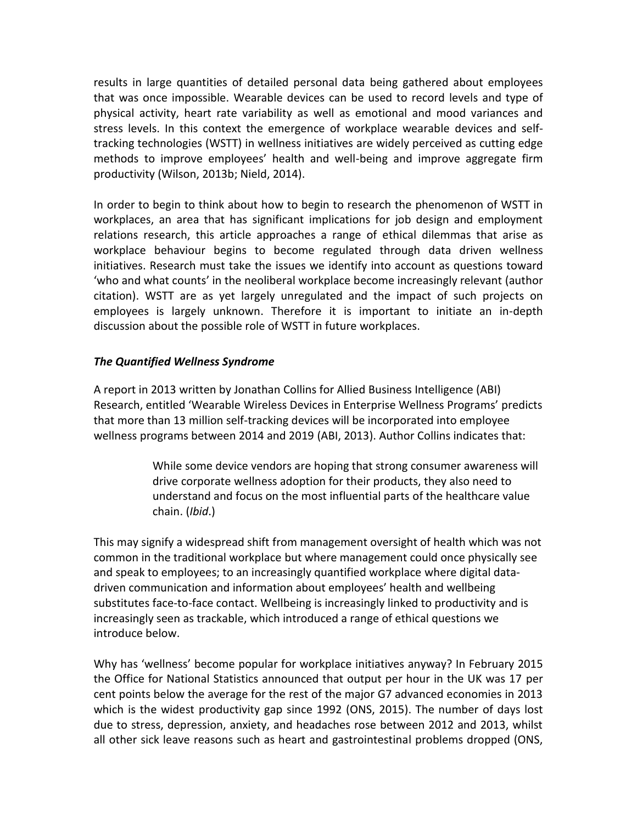results in large quantities of detailed personal data being gathered about employees that was once impossible. Wearable devices can be used to record levels and type of physical activity, heart rate variability as well as emotional and mood variances and stress levels. In this context the emergence of workplace wearable devices and selftracking technologies (WSTT) in wellness initiatives are widely perceived as cutting edge methods to improve employees' health and well-being and improve aggregate firm productivity (Wilson, 2013b; Nield, 2014).

In order to begin to think about how to begin to research the phenomenon of WSTT in workplaces, an area that has significant implications for job design and employment relations research, this article approaches a range of ethical dilemmas that arise as workplace behaviour begins to become regulated through data driven wellness initiatives. Research must take the issues we identify into account as questions toward 'who and what counts' in the neoliberal workplace become increasingly relevant (author citation). WSTT are as yet largely unregulated and the impact of such projects on employees is largely unknown. Therefore it is important to initiate an in-depth discussion about the possible role of WSTT in future workplaces.

## *The Quantified Wellness Syndrome*

A report in 2013 written by Jonathan Collins for Allied Business Intelligence (ABI) Research, entitled 'Wearable Wireless Devices in Enterprise Wellness Programs' predicts that more than 13 million self-tracking devices will be incorporated into employee wellness programs between 2014 and 2019 (ABI, 2013). Author Collins indicates that:

> While some device vendors are hoping that strong consumer awareness will drive corporate wellness adoption for their products, they also need to understand and focus on the most influential parts of the healthcare value chain. (*Ibid*.)

This may signify a widespread shift from management oversight of health which was not common in the traditional workplace but where management could once physically see and speak to employees; to an increasingly quantified workplace where digital datadriven communication and information about employees' health and wellbeing substitutes face-to-face contact. Wellbeing is increasingly linked to productivity and is increasingly seen as trackable, which introduced a range of ethical questions we introduce below.

Why has 'wellness' become popular for workplace initiatives anyway? In February 2015 the Office for National Statistics announced that output per hour in the UK was 17 per cent points below the average for the rest of the major G7 advanced economies in 2013 which is the widest productivity gap since 1992 (ONS, 2015). The number of days lost due to stress, depression, anxiety, and headaches rose between 2012 and 2013, whilst all other sick leave reasons such as heart and gastrointestinal problems dropped (ONS,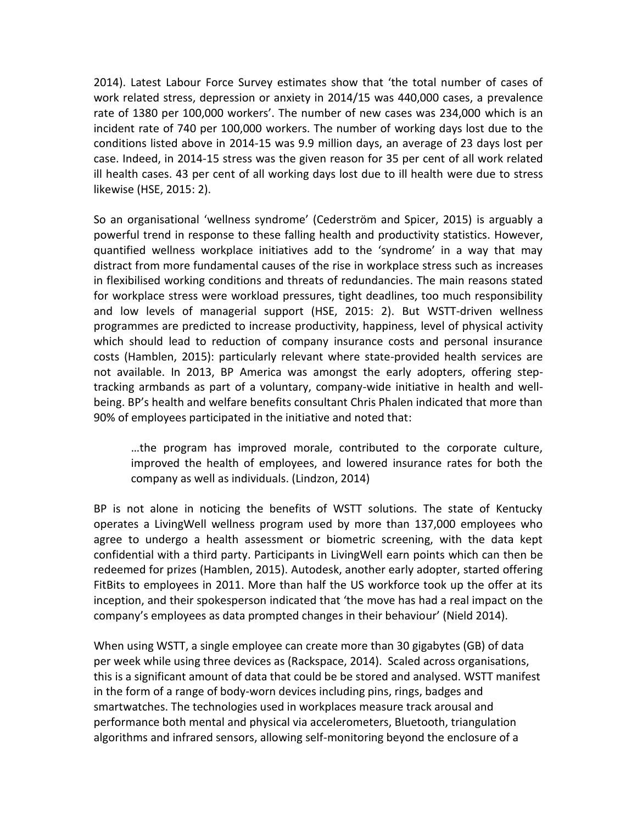2014). Latest Labour Force Survey estimates show that 'the total number of cases of work related stress, depression or anxiety in 2014/15 was 440,000 cases, a prevalence rate of 1380 per 100,000 workers'. The number of new cases was 234,000 which is an incident rate of 740 per 100,000 workers. The number of working days lost due to the conditions listed above in 2014-15 was 9.9 million days, an average of 23 days lost per case. Indeed, in 2014-15 stress was the given reason for 35 per cent of all work related ill health cases. 43 per cent of all working days lost due to ill health were due to stress likewise (HSE, 2015: 2).

So an organisational 'wellness syndrome' (Cederström and Spicer, 2015) is arguably a powerful trend in response to these falling health and productivity statistics. However, quantified wellness workplace initiatives add to the 'syndrome' in a way that may distract from more fundamental causes of the rise in workplace stress such as increases in flexibilised working conditions and threats of redundancies. The main reasons stated for workplace stress were workload pressures, tight deadlines, too much responsibility and low levels of managerial support (HSE, 2015: 2). But WSTT-driven wellness programmes are predicted to increase productivity, happiness, level of physical activity which should lead to reduction of company insurance costs and personal insurance costs (Hamblen, 2015): particularly relevant where state-provided health services are not available. In 2013, BP America was amongst the early adopters, offering steptracking armbands as part of a voluntary, company-wide initiative in health and wellbeing. BP's health and welfare benefits consultant Chris Phalen indicated that more than 90% of employees participated in the initiative and noted that:

…the program has improved morale, contributed to the corporate culture, improved the health of employees, and lowered insurance rates for both the company as well as individuals. (Lindzon, 2014)

BP is not alone in noticing the benefits of WSTT solutions. The state of Kentucky operates a LivingWell wellness program used by more than 137,000 employees who agree to undergo a health assessment or biometric screening, with the data kept confidential with a third party. Participants in LivingWell earn points which can then be redeemed for prizes (Hamblen, 2015). Autodesk, another early adopter, started offering FitBits to employees in 2011. More than half the US workforce took up the offer at its inception, and their spokesperson indicated that 'the move has had a real impact on the company's employees as data prompted changes in their behaviour' (Nield 2014).

When using WSTT, a single employee can create more than 30 gigabytes (GB) of data per week while using three devices as (Rackspace, 2014). Scaled across organisations, this is a significant amount of data that could be be stored and analysed. WSTT manifest in the form of a range of body-worn devices including pins, rings, badges and smartwatches. The technologies used in workplaces measure track arousal and performance both mental and physical via accelerometers, Bluetooth, triangulation algorithms and infrared sensors, allowing self-monitoring beyond the enclosure of a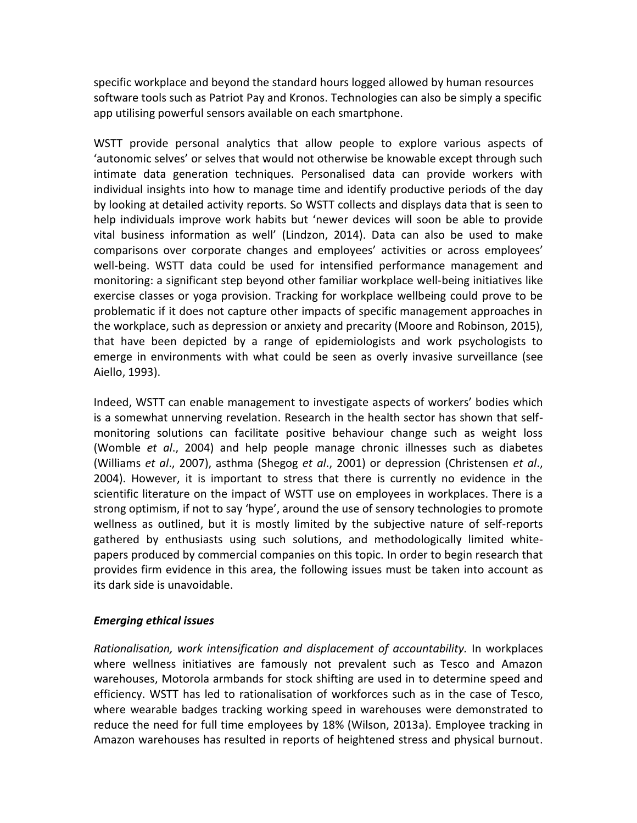specific workplace and beyond the standard hours logged allowed by human resources software tools such as Patriot Pay and Kronos. Technologies can also be simply a specific app utilising powerful sensors available on each smartphone.

WSTT provide personal analytics that allow people to explore various aspects of 'autonomic selves' or selves that would not otherwise be knowable except through such intimate data generation techniques. Personalised data can provide workers with individual insights into how to manage time and identify productive periods of the day by looking at detailed activity reports. So WSTT collects and displays data that is seen to help individuals improve work habits but 'newer devices will soon be able to provide vital business information as well' (Lindzon, 2014). Data can also be used to make comparisons over corporate changes and employees' activities or across employees' well-being. WSTT data could be used for intensified performance management and monitoring: a significant step beyond other familiar workplace well-being initiatives like exercise classes or yoga provision. Tracking for workplace wellbeing could prove to be problematic if it does not capture other impacts of specific management approaches in the workplace, such as depression or anxiety and precarity (Moore and Robinson, 2015), that have been depicted by a range of epidemiologists and work psychologists to emerge in environments with what could be seen as overly invasive surveillance (see Aiello, 1993).

Indeed, WSTT can enable management to investigate aspects of workers' bodies which is a somewhat unnerving revelation. Research in the health sector has shown that selfmonitoring solutions can facilitate positive behaviour change such as weight loss (Womble *et al*., 2004) and help people manage chronic illnesses such as diabetes (Williams *et al*., 2007), asthma (Shegog *et al*., 2001) or depression (Christensen *et al*., 2004). However, it is important to stress that there is currently no evidence in the scientific literature on the impact of WSTT use on employees in workplaces. There is a strong optimism, if not to say 'hype', around the use of sensory technologies to promote wellness as outlined, but it is mostly limited by the subjective nature of self-reports gathered by enthusiasts using such solutions, and methodologically limited whitepapers produced by commercial companies on this topic. In order to begin research that provides firm evidence in this area, the following issues must be taken into account as its dark side is unavoidable.

# *Emerging ethical issues*

*Rationalisation, work intensification and displacement of accountability.* In workplaces where wellness initiatives are famously not prevalent such as Tesco and Amazon warehouses, Motorola armbands for stock shifting are used in to determine speed and efficiency. WSTT has led to rationalisation of workforces such as in the case of Tesco, where wearable badges tracking working speed in warehouses were demonstrated to reduce the need for full time employees by 18% (Wilson, 2013a). Employee tracking in Amazon warehouses has resulted in reports of heightened stress and physical burnout.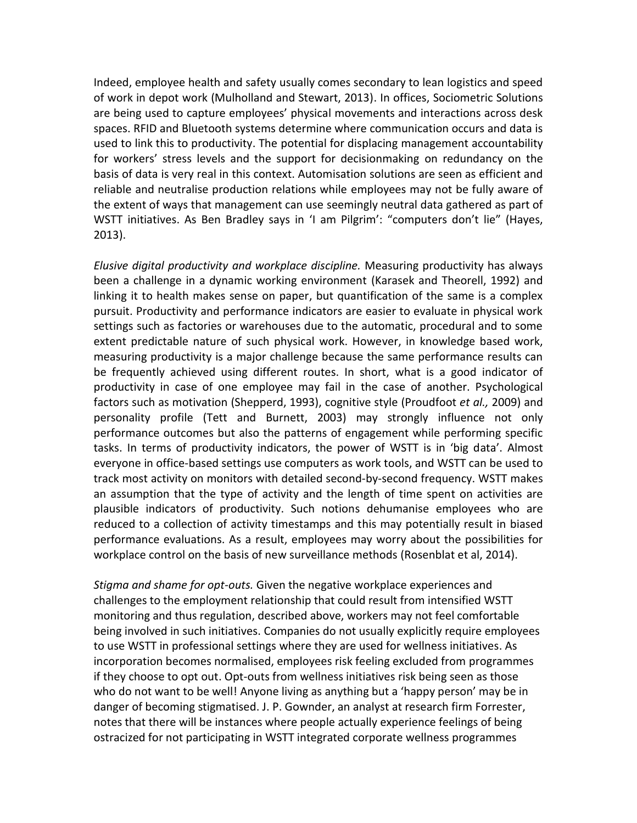Indeed, employee health and safety usually comes secondary to lean logistics and speed of work in depot work (Mulholland and Stewart, 2013). In offices, Sociometric Solutions are being used to capture employees' physical movements and interactions across desk spaces. RFID and Bluetooth systems determine where communication occurs and data is used to link this to productivity. The potential for displacing management accountability for workers' stress levels and the support for decisionmaking on redundancy on the basis of data is very real in this context. Automisation solutions are seen as efficient and reliable and neutralise production relations while employees may not be fully aware of the extent of ways that management can use seemingly neutral data gathered as part of WSTT initiatives. As Ben Bradley says in 'I am Pilgrim': "computers don't lie" (Hayes, 2013).

*Elusive digital productivity and workplace discipline.* Measuring productivity has always been a challenge in a dynamic working environment (Karasek and Theorell, 1992) and linking it to health makes sense on paper, but quantification of the same is a complex pursuit. Productivity and performance indicators are easier to evaluate in physical work settings such as factories or warehouses due to the automatic, procedural and to some extent predictable nature of such physical work. However, in knowledge based work, measuring productivity is a major challenge because the same performance results can be frequently achieved using different routes. In short, what is a good indicator of productivity in case of one employee may fail in the case of another. Psychological factors such as motivation (Shepperd, 1993), cognitive style (Proudfoot *et al.,* 2009) and personality profile (Tett and Burnett, 2003) may strongly influence not only performance outcomes but also the patterns of engagement while performing specific tasks. In terms of productivity indicators, the power of WSTT is in 'big data'. Almost everyone in office-based settings use computers as work tools, and WSTT can be used to track most activity on monitors with detailed second-by-second frequency. WSTT makes an assumption that the type of activity and the length of time spent on activities are plausible indicators of productivity. Such notions dehumanise employees who are reduced to a collection of activity timestamps and this may potentially result in biased performance evaluations. As a result, employees may worry about the possibilities for workplace control on the basis of new surveillance methods (Rosenblat et al, 2014).

*Stigma and shame for opt-outs.* Given the negative workplace experiences and challenges to the employment relationship that could result from intensified WSTT monitoring and thus regulation, described above, workers may not feel comfortable being involved in such initiatives. Companies do not usually explicitly require employees to use WSTT in professional settings where they are used for wellness initiatives. As incorporation becomes normalised, employees risk feeling excluded from programmes if they choose to opt out. Opt-outs from wellness initiatives risk being seen as those who do not want to be well! Anyone living as anything but a 'happy person' may be in danger of becoming stigmatised. J. P. Gownder, an analyst at research firm Forrester, notes that there will be instances where people actually experience feelings of being ostracized for not participating in WSTT integrated corporate wellness programmes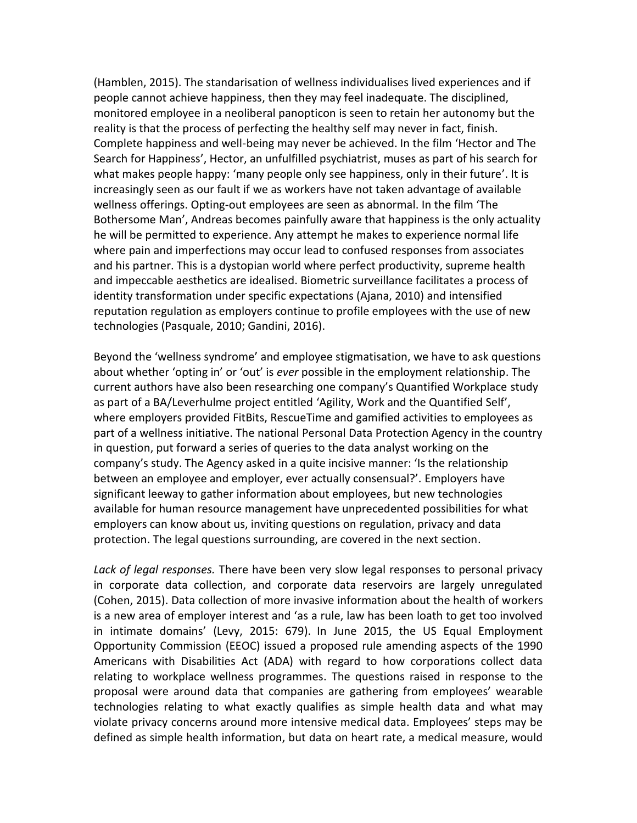(Hamblen, 2015). The standarisation of wellness individualises lived experiences and if people cannot achieve happiness, then they may feel inadequate. The disciplined, monitored employee in a neoliberal panopticon is seen to retain her autonomy but the reality is that the process of perfecting the healthy self may never in fact, finish. Complete happiness and well-being may never be achieved. In the film 'Hector and The Search for Happiness', Hector, an unfulfilled psychiatrist, muses as part of his search for what makes people happy: 'many people only see happiness, only in their future'. It is increasingly seen as our fault if we as workers have not taken advantage of available wellness offerings. Opting-out employees are seen as abnormal. In the film 'The Bothersome Man', Andreas becomes painfully aware that happiness is the only actuality he will be permitted to experience. Any attempt he makes to experience normal life where pain and imperfections may occur lead to confused responses from associates and his partner. This is a dystopian world where perfect productivity, supreme health and impeccable aesthetics are idealised. Biometric surveillance facilitates a process of identity transformation under specific expectations (Ajana, 2010) and intensified reputation regulation as employers continue to profile employees with the use of new technologies (Pasquale, 2010; Gandini, 2016).

Beyond the 'wellness syndrome' and employee stigmatisation, we have to ask questions about whether 'opting in' or 'out' is *ever* possible in the employment relationship. The current authors have also been researching one company's Quantified Workplace study as part of a BA/Leverhulme project entitled 'Agility, Work and the Quantified Self', where employers provided FitBits, RescueTime and gamified activities to employees as part of a wellness initiative. The national Personal Data Protection Agency in the country in question, put forward a series of queries to the data analyst working on the company's study. The Agency asked in a quite incisive manner: 'Is the relationship between an employee and employer, ever actually consensual?'. Employers have significant leeway to gather information about employees, but new technologies available for human resource management have unprecedented possibilities for what employers can know about us, inviting questions on regulation, privacy and data protection. The legal questions surrounding, are covered in the next section.

*Lack of legal responses.* There have been very slow legal responses to personal privacy in corporate data collection, and corporate data reservoirs are largely unregulated (Cohen, 2015). Data collection of more invasive information about the health of workers is a new area of employer interest and 'as a rule, law has been loath to get too involved in intimate domains' (Levy, 2015: 679). In June 2015, the US Equal Employment Opportunity Commission (EEOC) issued a proposed rule amending aspects of the 1990 Americans with Disabilities Act (ADA) with regard to how corporations collect data relating to workplace wellness programmes. The questions raised in response to the proposal were around data that companies are gathering from employees' wearable technologies relating to what exactly qualifies as simple health data and what may violate privacy concerns around more intensive medical data. Employees' steps may be defined as simple health information, but data on heart rate, a medical measure, would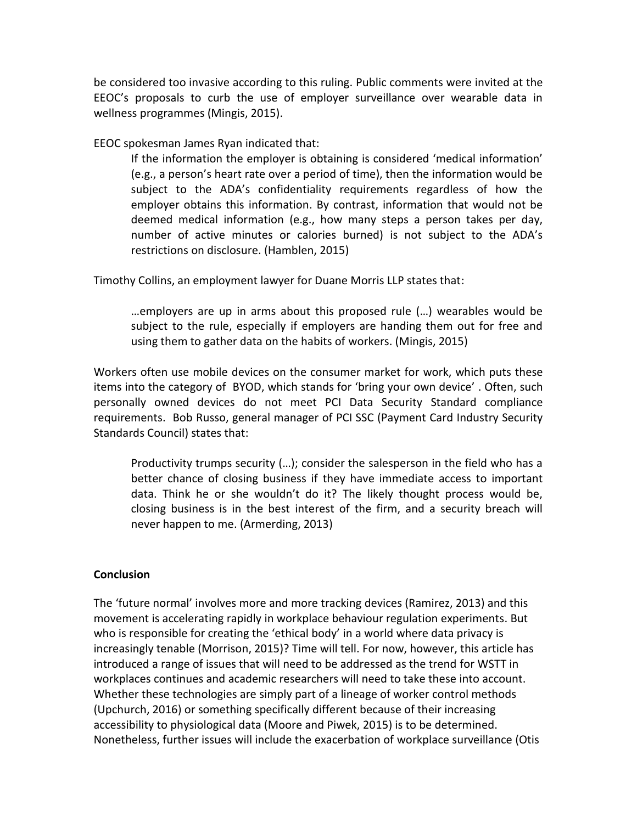be considered too invasive according to this ruling. Public comments were invited at the EEOC's proposals to curb the use of employer surveillance over wearable data in wellness programmes (Mingis, 2015).

EEOC spokesman James Ryan indicated that:

If the information the employer is obtaining is considered 'medical information' (e.g., a person's heart rate over a period of time), then the information would be subject to the ADA's confidentiality requirements regardless of how the employer obtains this information. By contrast, information that would not be deemed medical information (e.g., how many steps a person takes per day, number of active minutes or calories burned) is not subject to the ADA's restrictions on disclosure. (Hamblen, 2015)

Timothy Collins, an employment lawyer for Duane Morris LLP states that:

…employers are up in arms about this proposed rule (…) wearables would be subject to the rule, especially if employers are handing them out for free and using them to gather data on the habits of workers. (Mingis, 2015)

Workers often use mobile devices on the consumer market for work, which puts these items into the category of BYOD, which stands for 'bring your own device' . Often, such personally owned devices do not meet PCI Data Security Standard compliance requirements. Bob Russo, general manager of PCI SSC (Payment Card Industry Security Standards Council) states that:

Productivity trumps security (…); consider the salesperson in the field who has a better chance of closing business if they have immediate access to important data. Think he or she wouldn't do it? The likely thought process would be, closing business is in the best interest of the firm, and a security breach will never happen to me. (Armerding, 2013)

# **Conclusion**

The 'future normal' involves more and more tracking devices (Ramirez, 2013) and this movement is accelerating rapidly in workplace behaviour regulation experiments. But who is responsible for creating the 'ethical body' in a world where data privacy is increasingly tenable (Morrison, 2015)? Time will tell. For now, however, this article has introduced a range of issues that will need to be addressed as the trend for WSTT in workplaces continues and academic researchers will need to take these into account. Whether these technologies are simply part of a lineage of worker control methods (Upchurch, 2016) or something specifically different because of their increasing accessibility to physiological data (Moore and Piwek, 2015) is to be determined. Nonetheless, further issues will include the exacerbation of workplace surveillance (Otis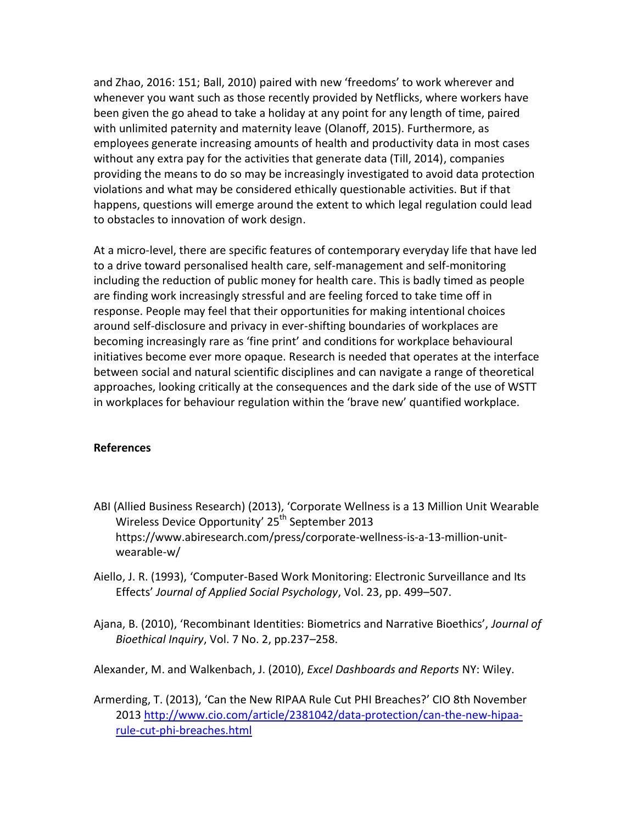and Zhao, 2016: 151; Ball, 2010) paired with new 'freedoms' to work wherever and whenever you want such as those recently provided by Netflicks, where workers have been given the go ahead to take a holiday at any point for any length of time, paired with unlimited paternity and maternity leave (Olanoff, 2015). Furthermore, as employees generate increasing amounts of health and productivity data in most cases without any extra pay for the activities that generate data (Till, 2014), companies providing the means to do so may be increasingly investigated to avoid data protection violations and what may be considered ethically questionable activities. But if that happens, questions will emerge around the extent to which legal regulation could lead to obstacles to innovation of work design.

At a micro-level, there are specific features of contemporary everyday life that have led to a drive toward personalised health care, self-management and self-monitoring including the reduction of public money for health care. This is badly timed as people are finding work increasingly stressful and are feeling forced to take time off in response. People may feel that their opportunities for making intentional choices around self-disclosure and privacy in ever-shifting boundaries of workplaces are becoming increasingly rare as 'fine print' and conditions for workplace behavioural initiatives become ever more opaque. Research is needed that operates at the interface between social and natural scientific disciplines and can navigate a range of theoretical approaches, looking critically at the consequences and the dark side of the use of WSTT in workplaces for behaviour regulation within the 'brave new' quantified workplace.

#### **References**

- ABI (Allied Business Research) (2013), 'Corporate Wellness is a 13 Million Unit Wearable Wireless Device Opportunity' 25<sup>th</sup> September 2013 [https://www.abiresearch.com/press/corporate-wellness-is-a-13-million-unit](https://www.abiresearch.com/press/corporate-wellness-is-a-13-million-unit-wearable-w/)[wearable-w/](https://www.abiresearch.com/press/corporate-wellness-is-a-13-million-unit-wearable-w/)
- Aiello, J. R. (1993), 'Computer-Based Work Monitoring: Electronic Surveillance and Its Effects' *Journal of Applied Social Psychology*, Vol. 23, pp. 499–507.
- Ajana, B. (2010), 'Recombinant Identities: Biometrics and Narrative Bioethics', *Journal of Bioethical Inquiry*, Vol. 7 No. 2, pp.237–258.

Alexander, M. and Walkenbach, J. (2010), *Excel Dashboards and Reports* NY: Wiley.

Armerding, T. (2013), 'Can the New RIPAA Rule Cut PHI Breaches?' CIO 8th November 2013 [http://www.cio.com/article/2381042/data-protection/can-the-new-hipaa](http://www.cio.com/article/2381042/data-protection/can-the-new-hipaa-rule-cut-phi-breaches.html)[rule-cut-phi-breaches.html](http://www.cio.com/article/2381042/data-protection/can-the-new-hipaa-rule-cut-phi-breaches.html)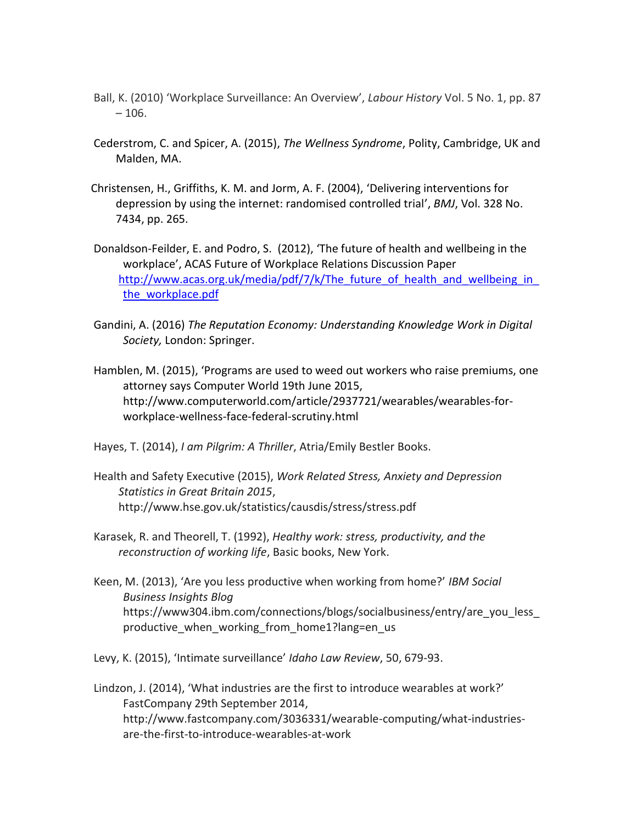- Ball, K. (2010) 'Workplace Surveillance: An Overview', *Labour History* Vol. 5 No. 1, pp. 87  $-106.$
- Cederstrom, C. and Spicer, A. (2015), *The Wellness Syndrome*, Polity, Cambridge, UK and Malden, MA.
- Christensen, H., Griffiths, K. M. and Jorm, A. F. (2004), 'Delivering interventions for depression by using the internet: randomised controlled trial', *BMJ*, Vol. 328 No. 7434, pp. 265.
- Donaldson-Feilder, E. and Podro, S. (2012), 'The future of health and wellbeing in the workplace', ACAS Future of Workplace Relations Discussion Paper http://www.acas.org.uk/media/pdf/7/k/The future of health and wellbeing in the workplace.pdf
- Gandini, A. (2016) *The Reputation Economy: Understanding Knowledge Work in Digital Society,* London: Springer.
- Hamblen, M. (2015), 'Programs are used to weed out workers who raise premiums, one attorney says Computer World 19th June 2015, [http://www.computerworld.com/article/2937721/wearables/wearables-for](http://www.computerworld.com/article/2937721/wearables/wearables-for-workplace-wellness-face-federal-scrutiny.html)[workplace-wellness-face-federal-scrutiny.html](http://www.computerworld.com/article/2937721/wearables/wearables-for-workplace-wellness-face-federal-scrutiny.html)
- Hayes, T. (2014), *I am Pilgrim: A Thriller*, Atria/Emily Bestler Books.
- Health and Safety Executive (2015), *Work Related Stress, Anxiety and Depression Statistics in Great Britain 2015*, http://www.hse.gov.uk/statistics/causdis/stress/stress.pdf
- Karasek, R. and Theorell, T. (1992), *Healthy work: stress, productivity, and the reconstruction of working life*, Basic books, New York.
- Keen, M. (2013), 'Are you less productive when working from home?' *IBM [Social](http://ibm.com/blogs/socialbusiness)  [Business Insights Blog](http://ibm.com/blogs/socialbusiness)* https://www304.ibm.com/connections/blogs/socialbusiness/entry/are\_you\_less\_ productive when working from home1?lang=en us
- Levy, K. (2015), 'Intimate surveillance' *Idaho Law Review*, 50, 679-93.
- Lindzon, J. (2014), 'What industries are the first to introduce wearables at work?' FastCompany 29th September 2014, http://www.fastcompany.com/3036331/wearable-computing/what-industriesare-the-first-to-introduce-wearables-at-work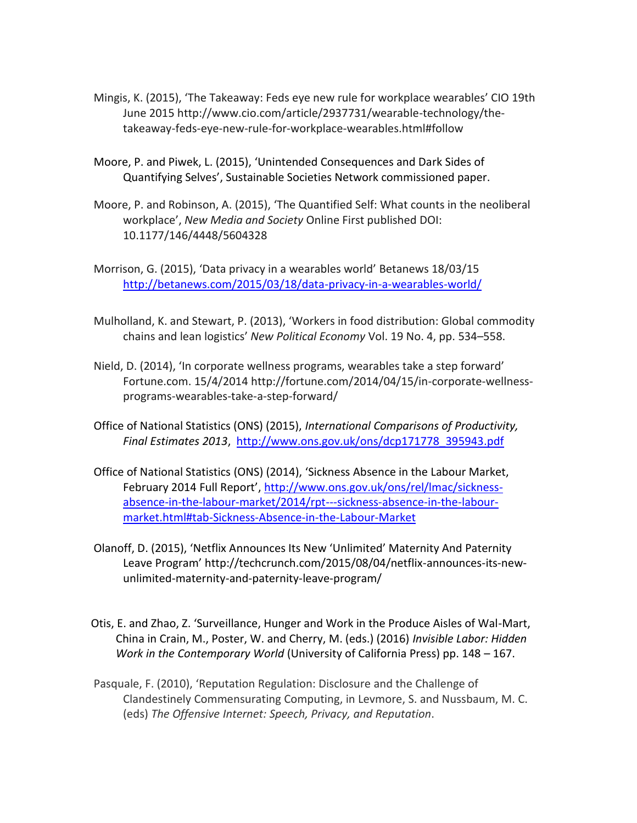- Mingis, K. (2015), 'The Takeaway: Feds eye new rule for workplace wearables' CIO 19th June 2015 [http://www.cio.com/article/2937731/wearable-technology/the](http://www.cio.com/article/2937731/wearable-technology/the-takeaway-feds-eye-new-rule-for-workplace-wearables.html#follow)[takeaway-feds-eye-new-rule-for-workplace-wearables.html#follow](http://www.cio.com/article/2937731/wearable-technology/the-takeaway-feds-eye-new-rule-for-workplace-wearables.html#follow)
- Moore, P. and Piwek, L. (2015), 'Unintended Consequences and Dark Sides of Quantifying Selves', Sustainable Societies Network commissioned paper.
- Moore, P. and Robinson, A. (2015), 'The Quantified Self: What counts in the neoliberal workplace', *New Media and Society* Online First published DOI: 10.1177/146/4448/5604328
- Morrison, G. (2015), 'Data privacy in a wearables world' Betanews 18/03/15 <http://betanews.com/2015/03/18/data-privacy-in-a-wearables-world/>
- Mulholland, K. and Stewart, P. (2013), 'Workers in food distribution: Global commodity chains and lean logistics' *New Political Economy* Vol. 19 No. 4, pp. 534–558.
- Nield, D. (2014), 'In corporate wellness programs, wearables take a step forward' Fortune.com. 15/4/2014 [http://fortune.com/2014/04/15/in-corporate-wellness](http://fortune.com/2014/04/15/in-corporate-wellness-programs-wearables-take-a-step-forward/)[programs-wearables-take-a-step-forward/](http://fortune.com/2014/04/15/in-corporate-wellness-programs-wearables-take-a-step-forward/)
- Office of National Statistics (ONS) (2015), *International Comparisons of Productivity, Final Estimates 2013*, [http://www.ons.gov.uk/ons/dcp171778\\_395943.pdf](http://www.ons.gov.uk/ons/dcp171778_395943.pdf)
- Office of National Statistics (ONS) (2014), 'Sickness Absence in the Labour Market, February 2014 Full Report', [http://www.ons.gov.uk/ons/rel/lmac/sickness](http://www.ons.gov.uk/ons/rel/lmac/sickness-absence-in-the-labour-market/2014/rpt---sickness-absence-in-the-labour-market.html#tab-Sickness-Absence-in-the-Labour-Market)[absence-in-the-labour-market/2014/rpt---sickness-absence-in-the-labour](http://www.ons.gov.uk/ons/rel/lmac/sickness-absence-in-the-labour-market/2014/rpt---sickness-absence-in-the-labour-market.html#tab-Sickness-Absence-in-the-Labour-Market)[market.html#tab-Sickness-Absence-in-the-Labour-Market](http://www.ons.gov.uk/ons/rel/lmac/sickness-absence-in-the-labour-market/2014/rpt---sickness-absence-in-the-labour-market.html#tab-Sickness-Absence-in-the-Labour-Market)
- Olanoff, D. (2015), 'Netflix Announces Its New 'Unlimited' Maternity And Paternity Leave Program' [http://techcrunch.com/2015/08/04/netflix-announces-its-new](http://techcrunch.com/2015/08/04/netflix-announces-its-new-unlimited-maternity-and-paternity-leave-program/)[unlimited-maternity-and-paternity-leave-program/](http://techcrunch.com/2015/08/04/netflix-announces-its-new-unlimited-maternity-and-paternity-leave-program/)
- Otis, E. and Zhao, Z. 'Surveillance, Hunger and Work in the Produce Aisles of Wal-Mart, China in Crain, M., Poster, W. and Cherry, M. (eds.) (2016) *Invisible Labor: Hidden Work in the Contemporary World* (University of California Press) pp. 148 – 167.
- Pasquale, F. (2010), 'Reputation Regulation: Disclosure and the Challenge of Clandestinely Commensurating Computing, in Levmore, S. and Nussbaum, M. C. (eds) *The Offensive Internet: Speech, Privacy, and Reputation*.